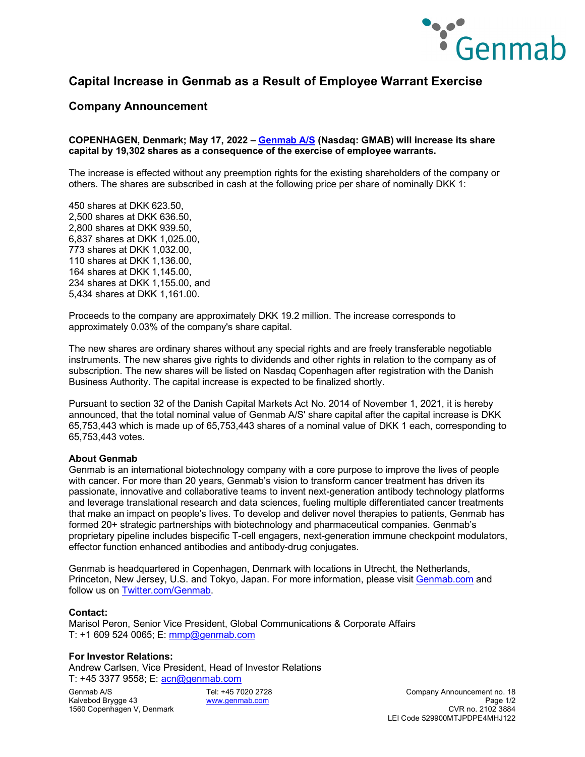

## **Capital Increase in Genmab as a Result of Employee Warrant Exercise**

### **Company Announcement**

#### **COPENHAGEN, Denmark; May 17, 2022 – [Genmab A/S](https://www.genmab.com/) (Nasdaq: GMAB) will increase its share capital by 19,302 shares as a consequence of the exercise of employee warrants.**

The increase is effected without any preemption rights for the existing shareholders of the company or others. The shares are subscribed in cash at the following price per share of nominally DKK 1:

450 shares at DKK 623.50, 2,500 shares at DKK 636.50, 2,800 shares at DKK 939.50, 6,837 shares at DKK 1,025.00, 773 shares at DKK 1,032.00, 110 shares at DKK 1,136.00, 164 shares at DKK 1,145.00, 234 shares at DKK 1,155.00, and 5,434 shares at DKK 1,161.00.

Proceeds to the company are approximately DKK 19.2 million. The increase corresponds to approximately 0.03% of the company's share capital.

The new shares are ordinary shares without any special rights and are freely transferable negotiable instruments. The new shares give rights to dividends and other rights in relation to the company as of subscription. The new shares will be listed on Nasdaq Copenhagen after registration with the Danish Business Authority. The capital increase is expected to be finalized shortly.

Pursuant to section 32 of the Danish Capital Markets Act No. 2014 of November 1, 2021, it is hereby announced, that the total nominal value of Genmab A/S' share capital after the capital increase is DKK 65,753,443 which is made up of 65,753,443 shares of a nominal value of DKK 1 each, corresponding to 65,753,443 votes.

#### **About Genmab**

Genmab is an international biotechnology company with a core purpose to improve the lives of people with cancer. For more than 20 years, Genmab's vision to transform cancer treatment has driven its passionate, innovative and collaborative teams to invent next-generation antibody technology platforms and leverage translational research and data sciences, fueling multiple differentiated cancer treatments that make an impact on people's lives. To develop and deliver novel therapies to patients, Genmab has formed 20+ strategic partnerships with biotechnology and pharmaceutical companies. Genmab's proprietary pipeline includes bispecific T-cell engagers, next-generation immune checkpoint modulators, effector function enhanced antibodies and antibody-drug conjugates.

Genmab is headquartered in Copenhagen, Denmark with locations in Utrecht, the Netherlands, Princeton, New Jersey, U.S. and Tokyo, Japan. For more information, please visit [Genmab.com](https://www.genmab.com/) and follow us on [Twitter.com/Genmab.](https://twitter.com/Genmab)

#### **Contact:**

Marisol Peron, Senior Vice President, Global Communications & Corporate Affairs T: +1 609 524 0065; E: [mmp@genmab.com](mailto:mmp@genmab.com)

#### **For Investor Relations:**

Andrew Carlsen, Vice President, Head of Investor Relations T: +45 3377 9558; E: [acn@genmab.com](mailto:acn@genmab.com)

1560 Copenhagen V, Denmark

Genmab A/S Tel: +45 7020 2728 Company Announcement no. 18 Kalvebod Brygge 43 [www.genmab.com](http://www.genmab.com/) Page 1/2 LEI Code 529900MTJPDPE4MHJ122